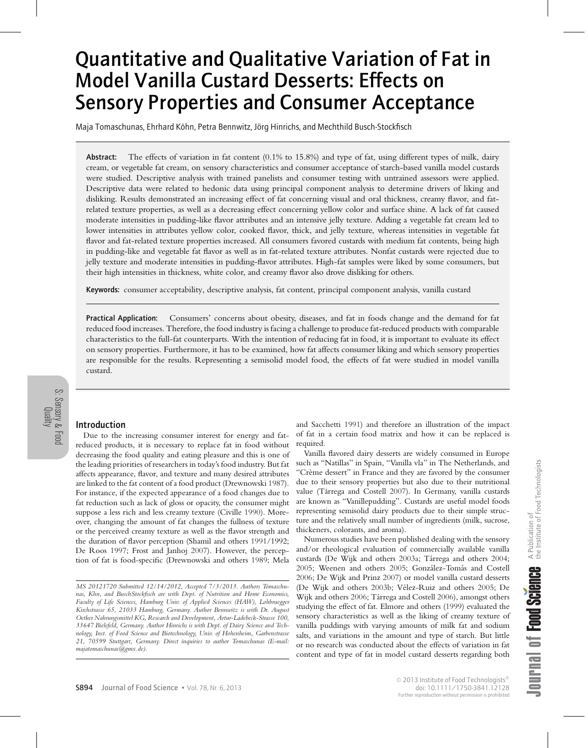# Quantitative and Qualitative Variation of Fat in Model Vanilla Custard Desserts: Effects on Sensory Properties and Consumer Acceptance

Maja Tomaschunas, Ehrhard Köhn, Petra Bennwitz, Jörg Hinrichs, and Mechthild Busch-Stockfisch

Abstract: The effects of variation in fat content (0.1% to 15.8%) and type of fat, using different types of milk, dairy cream, or vegetable fat cream, on sensory characteristics and consumer acceptance of starch-based vanilla model custards were studied. Descriptive analysis with trained panelists and consumer testing with untrained assessors were applied. Descriptive data were related to hedonic data using principal component analysis to determine drivers of liking and disliking. Results demonstrated an increasing effect of fat concerning visual and oral thickness, creamy flavor, and fatrelated texture properties, as well as a decreasing effect concerning yellow color and surface shine. A lack of fat caused moderate intensities in pudding-like flavor attributes and an intensive jelly texture. Adding a vegetable fat cream led to lower intensities in attributes yellow color, cooked flavor, thick, and jelly texture, whereas intensities in vegetable fat flavor and fat-related texture properties increased. All consumers favored custards with medium fat contents, being high in pudding-like and vegetable fat flavor as well as in fat-related texture attributes. Nonfat custards were rejected due to jelly texture and moderate intensities in pudding-flavor attributes. High-fat samples were liked by some consumers, but their high intensities in thickness, white color, and creamy flavor also drove disliking for others.

Keywords: consumer acceptability, descriptive analysis, fat content, principal component analysis, vanilla custard

Practical Application: Consumers' concerns about obesity, diseases, and fat in foods change and the demand for fat reduced food increases. Therefore, the food industry is facing a challenge to produce fat-reduced products with comparable characteristics to the full-fat counterparts. With the intention of reducing fat in food, it is important to evaluate its effect on sensory properties. Furthermore, it has to be examined, how fat affects consumer liking and which sensory properties are responsible for the results. Representing a semisolid model food, the effects of fat were studied in model vanilla custard.

# Introduction

Due to the increasing consumer interest for energy and fatreduced products, it is necessary to replace fat in food without decreasing the food quality and eating pleasure and this is one of the leading priorities of researchers in today's food industry. But fat affects appearance, flavor, and texture and many desired attributes are linked to the fat content of a food product (Drewnowski 1987). For instance, if the expected appearance of a food changes due to fat reduction such as lack of gloss or opacity, the consumer might suppose a less rich and less creamy texture (Civille 1990). Moreover, changing the amount of fat changes the fullness of texture or the perceived creamy texture as well as the flavor strength and the duration of flavor perception (Shamil and others 1991/1992; De Roos 1997; Frost and Janhoj 2007). However, the perception of fat is food-specific (Drewnowski and others 1989; Mela

and Sacchetti 1991) and therefore an illustration of the impact of fat in a certain food matrix and how it can be replaced is required.

Vanilla flavored dairy desserts are widely consumed in Europe such as "Natillas" in Spain, "Vanilla vla" in The Netherlands, and "Crème dessert" in France and they are favored by the consumer due to their sensory properties but also due to their nutritional value (Tárrega and Costell 2007). In Germany, vanilla custards are known as "Vanillepudding". Custards are useful model foods representing semisolid dairy products due to their simple structure and the relatively small number of ingredients (milk, sucrose, thickeners, colorants, and aroma).

Numerous studies have been published dealing with the sensory and/or rheological evaluation of commercially available vanilla custards (De Wijk and others 2003a; Tárrega and others 2004; 2005; Weenen and others 2005; González-Tomás and Costell 2006; De Wijk and Prinz 2007) or model vanilla custard desserts (De Wijk and others 2003b; Vélez-Ruiz and others 2005; De Wijk and others 2006; Tárrega and Costell 2006), amongst others studying the effect of fat. Elmore and others (1999) evaluated the sensory characteristics as well as the liking of creamy texture of vanilla puddings with varying amounts of milk fat and sodium salts, and variations in the amount and type of starch. But little or no research was conducted about the effects of variation in fat content and type of fat in model custard desserts regarding both

*MS 20121720 Submitted 12/14/2012, Accepted 7/3/2013. Authors Tomaschunas, Khn, and BuschStockfisch are with Dept. of Nutrition and Home Economics, Faculty of Life Sciences, Hamburg Univ. of Applied Sciences (HAW), Lohbruegger Kirchstrasse 65, 21033 Hamburg, Germany. Author Bennwitz is with Dr. August Oetker Nahrungsmittel KG, Research and Development, Artur-Ladebeck-Strasse 100, 33647 Bielefeld, Germany. Author Hinrichs is with Dept. of Dairy Science and Technology, Inst. of Food Science and Biotechnology, Univ. of Hohenheim, Garbenstrasse 21, 70599 Stuttgart, Germany. Direct inquiries to author Tomaschunas (E-mail: majatomaschunas@gmx.de).*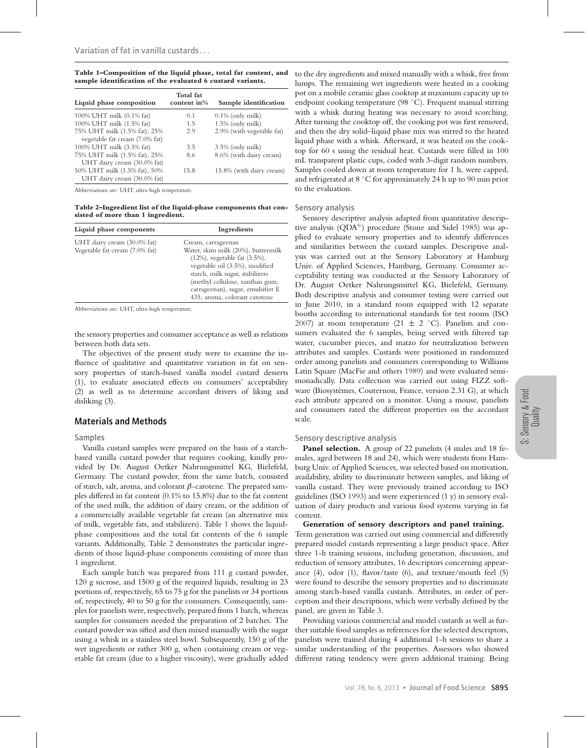#### **Table 1–Composition of the liquid phase, total fat content, and sample identification of the evaluated 6 custard variants.**

| Liquid phase composition       | Total fat<br>content in% | Sample identification     |
|--------------------------------|--------------------------|---------------------------|
| 100% UHT milk (0.1% fat)       | 0.1                      | $0.1\%$ (only milk)       |
| 100% UHT milk (1.5% fat)       | 1.5                      | $1.5\%$ (only milk)       |
| 75% UHT milk (1.5% fat), 25%   | 29                       | 2.9% (with vegetable fat) |
| vegetable fat cream (7.0% fat) |                          |                           |
| 100% UHT milk (3.5% fat)       | 3.5                      | $3.5\%$ (only milk)       |
| 75% UHT milk (1.5% fat), 25%   | 8.6                      | 8.6% (with dairy cream)   |
| UHT dairy cream (30.0% fat)    |                          |                           |
| 50% UHT milk (1.5% fat), 50%   | 15.8                     | 15.8% (with dairy cream)  |
| UHT dairy cream (30.0% fat)    |                          |                           |

Abbreviations are: UHT, ultra-high temperature.

**Table 2–Ingredient list of the liquid-phase components that consisted of more than 1 ingredient.**

| Liquid phase components                                       | Ingredients                                                                                                                                                                                                                                                                    |  |  |  |
|---------------------------------------------------------------|--------------------------------------------------------------------------------------------------------------------------------------------------------------------------------------------------------------------------------------------------------------------------------|--|--|--|
| UHT dairy cream (30.0% fat)<br>Vegetable fat cream (7.0% fat) | Cream, carrageenan<br>Water, skim milk (20%), buttermilk<br>$(12\%)$ , vegetable fat $(3.5\%)$ ,<br>vegetable oil (3.5%), modified<br>starch, milk sugar, stabilizers<br>(methyl cellulose, xanthan gum,<br>carrageenan), sugar, emulsifier E<br>435, aroma, colorant carotene |  |  |  |

Abbreviations are: UHT, ultra-high temperature.

the sensory properties and consumer acceptance as well as relations between both data sets.

The objectives of the present study were to examine the influence of qualitative and quantitative variation in fat on sensory properties of starch-based vanilla model custard desserts (1), to evaluate associated effects on consumers' acceptability (2) as well as to determine accordant drivers of liking and disliking (3).

# Materials and Methods

## Samples

Vanilla custard samples were prepared on the basis of a starchbased vanilla custard powder that requires cooking, kindly provided by Dr. August Oetker Nahrungsmittel KG, Bielefeld, Germany. The custard powder, from the same batch, consisted of starch, salt, aroma, and colorant  $\beta$ -carotene. The prepared samples differed in fat content (0.1% to 15.8%) due to the fat content of the used milk, the addition of dairy cream, or the addition of a commercially available vegetable fat cream (an alternative mix of milk, vegetable fats, and stabilizers). Table 1 shows the liquidphase compositions and the total fat contents of the 6 sample variants. Additionally, Table 2 demonstrates the particular ingredients of those liquid-phase components consisting of more than 1 ingredient.

Each sample batch was prepared from 111 g custard powder, 120 g sucrose, and 1500 g of the required liquids, resulting in 23 portions of, respectively, 65 to 75 g for the panelists or 34 portions of, respectively, 40 to 50 g for the consumers. Consequently, samples for panelists were, respectively, prepared from 1 batch, whereas samples for consumers needed the preparation of 2 batches. The custard powder was sifted and then mixed manually with the sugar using a whisk in a stainless steel bowl. Subsequently, 150 g of the wet ingredients or rather 300 g, when containing cream or vegetable fat cream (due to a higher viscosity), were gradually added

to the dry ingredients and mixed manually with a whisk, free from lumps. The remaining wet ingredients were heated in a cooking pot on a mobile ceramic glass cooktop at maximum capacity up to endpoint cooking temperature (98 °C). Frequent manual stirring with a whisk during heating was necessary to avoid scorching. After turning the cooktop off, the cooking pot was first removed, and then the dry solid–liquid phase mix was stirred to the heated liquid phase with a whisk. Afterward, it was heated on the cooktop for 60 s using the residual heat. Custards were filled in 100 mL transparent plastic cups, coded with 3-digit random numbers. Samples cooled down at room temperature for 1 h, were capped, and refrigerated at 8 ◦C for approximately 24 h up to 90 min prior to the evaluation.

#### Sensory analysis

Sensory descriptive analysis adapted from quantitative descriptive analysis (QDA®) procedure (Stone and Sidel 1985) was applied to evaluate sensory properties and to identify differences and similarities between the custard samples. Descriptive analysis was carried out at the Sensory Laboratory at Hamburg Univ. of Applied Sciences, Hamburg, Germany. Consumer acceptability testing was conducted at the Sensory Laboratory of Dr. August Oetker Nahrungsmittel KG, Bielefeld, Germany. Both descriptive analysis and consumer testing were carried out in June 2010, in a standard room equipped with 12 separate booths according to international standards for test rooms (ISO 2007) at room temperature (21  $\pm$  2 °C). Panelists and consumers evaluated the 6 samples, being served with filtered tap water, cucumber pieces, and matzo for neutralization between attributes and samples. Custards were positioned in randomized order among panelists and consumers corresponding to Williams Latin Square (MacFie and others 1989) and were evaluated semimonadically. Data collection was carried out using FIZZ software (Biosystèmes, Couternon, France, version 2.31 G), at which each attribute appeared on a monitor. Using a mouse, panelists and consumers rated the different properties on the accordant scale.

## Sensory descriptive analysis

Panel selection. A group of 22 panelists (4 males and 18 females, aged between 18 and 24), which were students from Hamburg Univ. of Applied Sciences, was selected based on motivation, availability, ability to discriminate between samples, and liking of vanilla custard. They were previously trained according to ISO guidelines (ISO 1993) and were experienced (1 y) in sensory evaluation of dairy products and various food systems varying in fat content.

**Generation of sensory descriptors and panel training.** Term generation was carried out using commercial and differently prepared model custards representing a large product space. After three 1-h training sessions, including generation, discussion, and reduction of sensory attributes, 16 descriptors concerning appearance (4), odor (1), flavor/taste (6), and texture/mouth feel (5) were found to describe the sensory properties and to discriminate among starch-based vanilla custards. Attributes, in order of perception and their descriptions, which were verbally defined by the panel, are given in Table 3.

Providing various commercial and model custards as well as further suitable food samples as references for the selected descriptors, panelists were trained during 4 additional 1-h sessions to share a similar understanding of the properties. Assessors who showed different rating tendency were given additional training. Being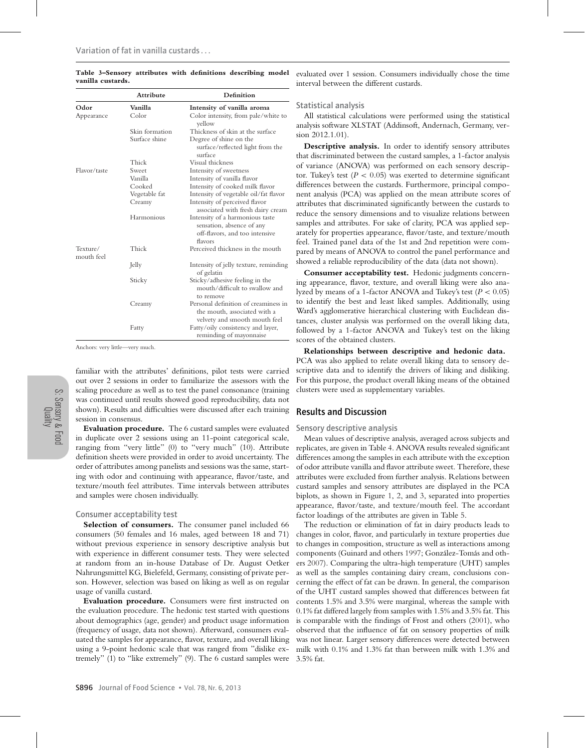**Table 3–Sensory attributes with definitions describing model vanilla custards.**

|                        | Attribute      | Definition                                                                                                       |
|------------------------|----------------|------------------------------------------------------------------------------------------------------------------|
| Odor                   | Vanilla        | Intensity of vanilla aroma                                                                                       |
| Appearance             | Color          | Color intensity, from pale/white to<br>yellow                                                                    |
|                        | Skin formation | Thickness of skin at the surface                                                                                 |
|                        | Surface shine  | Degree of shine on the<br>surface/reflected light from the<br>surface                                            |
|                        | Thick          | Visual thickness                                                                                                 |
| Flavor/taste           | <b>Sweet</b>   | Intensity of sweetness                                                                                           |
|                        | Vanilla        | Intensity of vanilla flavor                                                                                      |
|                        | Cooked         | Intensity of cooked milk flavor                                                                                  |
|                        | Vegetable fat  | Intensity of vegetable oil/fat flavor                                                                            |
|                        | Creamy         | Intensity of perceived flavor<br>associated with fresh dairy cream                                               |
|                        | Harmonious     | Intensity of a harmonious taste<br>sensation, absence of any<br>off-flavors, and too intensive<br><b>flavors</b> |
| Texture/<br>mouth feel | Thick          | Perceived thickness in the mouth                                                                                 |
|                        | Jelly          | Intensity of jelly texture, reminding<br>of gelatin                                                              |
|                        | Sticky         | Sticky/adhesive feeling in the<br>mouth/difficult to swallow and<br>to remove                                    |
|                        | Creamy         | Personal definition of creaminess in<br>the mouth, associated with a<br>velvety and smooth mouth feel            |
|                        | Fatty          | Fatty/oily consistency and layer,<br>reminding of mayonnaise                                                     |

Anchors: very little—very much.

familiar with the attributes' definitions, pilot tests were carried out over 2 sessions in order to familiarize the assessors with the scaling procedure as well as to test the panel consonance (training was continued until results showed good reproducibility, data not shown). Results and difficulties were discussed after each training session in consensus.

**Evaluation procedure.** The 6 custard samples were evaluated in duplicate over 2 sessions using an 11-point categorical scale, ranging from "very little" (0) to "very much" (10). Attribute definition sheets were provided in order to avoid uncertainty. The order of attributes among panelists and sessions was the same, starting with odor and continuing with appearance, flavor/taste, and texture/mouth feel attributes. Time intervals between attributes and samples were chosen individually.

#### Consumer acceptability test

**Selection of consumers.** The consumer panel included 66 consumers (50 females and 16 males, aged between 18 and 71) without previous experience in sensory descriptive analysis but with experience in different consumer tests. They were selected at random from an in-house Database of Dr. August Oetker Nahrungsmittel KG, Bielefeld, Germany, consisting of private person. However, selection was based on liking as well as on regular usage of vanilla custard.

**Evaluation procedure.** Consumers were first instructed on the evaluation procedure. The hedonic test started with questions about demographics (age, gender) and product usage information (frequency of usage, data not shown). Afterward, consumers evaluated the samples for appearance, flavor, texture, and overall liking using a 9-point hedonic scale that was ranged from "dislike extremely" (1) to "like extremely" (9). The 6 custard samples were

evaluated over 1 session. Consumers individually chose the time interval between the different custards.

#### Statistical analysis

All statistical calculations were performed using the statistical analysis software XLSTAT (Addinsoft, Andernach, Germany, version 2012.1.01).

**Descriptive analysis.** In order to identify sensory attributes that discriminated between the custard samples, a 1-factor analysis of variance (ANOVA) was performed on each sensory descriptor. Tukey's test  $(P < 0.05)$  was exerted to determine significant differences between the custards. Furthermore, principal component analysis (PCA) was applied on the mean attribute scores of attributes that discriminated significantly between the custards to reduce the sensory dimensions and to visualize relations between samples and attributes. For sake of clarity, PCA was applied separately for properties appearance, flavor/taste, and texture/mouth feel. Trained panel data of the 1st and 2nd repetition were compared by means of ANOVA to control the panel performance and showed a reliable reproducibility of the data (data not shown).

**Consumer acceptability test.** Hedonic judgments concerning appearance, flavor, texture, and overall liking were also analyzed by means of a 1-factor ANOVA and Tukey's test (*P* < 0.05) to identify the best and least liked samples. Additionally, using Ward's agglomerative hierarchical clustering with Euclidean distances, cluster analysis was performed on the overall liking data, followed by a 1-factor ANOVA and Tukey's test on the liking scores of the obtained clusters.

**Relationships between descriptive and hedonic data.** PCA was also applied to relate overall liking data to sensory descriptive data and to identify the drivers of liking and disliking. For this purpose, the product overall liking means of the obtained clusters were used as supplementary variables.

## Results and Discussion

#### Sensory descriptive analysis

Mean values of descriptive analysis, averaged across subjects and replicates, are given in Table 4. ANOVA results revealed significant differences among the samples in each attribute with the exception of odor attribute vanilla and flavor attribute sweet. Therefore, these attributes were excluded from further analysis. Relations between custard samples and sensory attributes are displayed in the PCA biplots, as shown in Figure 1, 2, and 3, separated into properties appearance, flavor/taste, and texture/mouth feel. The accordant factor loadings of the attributes are given in Table 5.

The reduction or elimination of fat in dairy products leads to changes in color, flavor, and particularly in texture properties due to changes in composition, structure as well as interactions among components (Guinard and others 1997; González-Tomás and others 2007). Comparing the ultra-high temperature (UHT) samples as well as the samples containing dairy cream, conclusions concerning the effect of fat can be drawn. In general, the comparison of the UHT custard samples showed that differences between fat contents 1.5% and 3.5% were marginal, whereas the sample with 0.1% fat differed largely from samples with 1.5% and 3.5% fat. This is comparable with the findings of Frost and others (2001), who observed that the influence of fat on sensory properties of milk was not linear. Larger sensory differences were detected between milk with 0.1% and 1.3% fat than between milk with 1.3% and 3.5% fat.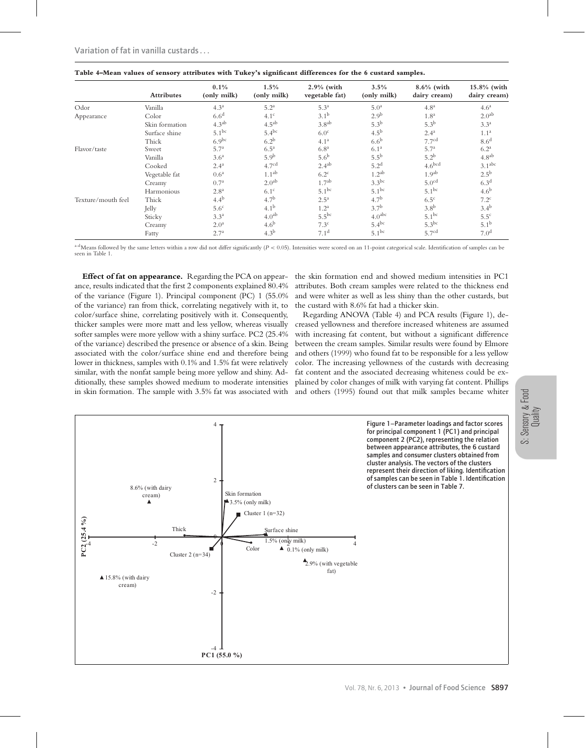|                    | <b>Attributes</b> | 0.1%<br>(only milk) | 1.5%<br>(only milk) | $2.9\%$ (with<br>vegetable fat) | 3.5%<br>(only milk) | $8.6\%$ (with<br>dairy cream) | $15.8%$ (with<br>dairy cream) |
|--------------------|-------------------|---------------------|---------------------|---------------------------------|---------------------|-------------------------------|-------------------------------|
| Odor               | Vanilla           | 4.3 <sup>a</sup>    | 5.2 <sup>a</sup>    | 5.3 <sup>a</sup>                | 5.0 <sup>a</sup>    | 4.8 <sup>a</sup>              | 4.6 <sup>a</sup>              |
| Appearance         | Color             | 6.6 <sup>d</sup>    | 4.1 <sup>c</sup>    | $3.1^{b}$                       | 2.9 <sup>b</sup>    | 1.8 <sup>a</sup>              | 2.0 <sup>ab</sup>             |
|                    | Skin formation    | 4.3 <sup>ab</sup>   | 4.5 <sup>ab</sup>   | 3.8 <sup>ab</sup>               | 5.3 <sup>b</sup>    | $5.3^{b}$                     | 3.3 <sup>a</sup>              |
|                    | Surface shine     | $5.1^{bc}$          | $5.4^{bc}$          | 6.0 <sup>c</sup>                | 4.5 <sup>b</sup>    | $2.4^{a}$                     | 1.1 <sup>a</sup>              |
|                    | Thick             | $6.9^{bc}$          | 6.2 <sup>b</sup>    | 4.1 <sup>a</sup>                | 6.6 <sup>b</sup>    | 7.7 <sup>cd</sup>             | 8.6 <sup>d</sup>              |
| Flavor/taste       | Sweet             | 5.7 <sup>a</sup>    | $6.5^{\mathrm{a}}$  | 6.8 <sup>a</sup>                | 6.1 <sup>a</sup>    | $5.7^{a}$                     | 6.2 <sup>a</sup>              |
|                    | Vanilla           | 3.6 <sup>a</sup>    | 5.9 <sup>b</sup>    | 5.6 <sup>b</sup>                | $5.5^{\rm b}$       | $5.2^{\rm b}$                 | 4.8 <sup>ab</sup>             |
|                    | Cooked            | $2.4^{\rm a}$       | 4.7 <sup>cd</sup>   | $2.4^{ab}$                      | 5.2 <sup>d</sup>    | 4.6 <sup>bcd</sup>            | 3.1 <sup>abc</sup>            |
|                    | Vegetable fat     | $0.6^{\rm a}$       | 1.1 <sup>ab</sup>   | $6.2^{\circ}$                   | 1.2 <sup>ab</sup>   | 1.9 <sup>ab</sup>             | $2.5^{\rm b}$                 |
|                    | Creamy            | 0.7 <sup>a</sup>    | 2.0 <sup>ab</sup>   | 1.7 <sup>ab</sup>               | $3.3^{bc}$          | 5.0 <sup>cd</sup>             | 6.3 <sup>d</sup>              |
|                    | Harmonious        | 2.8 <sup>a</sup>    | 6.1 <sup>c</sup>    | $5.1^{bc}$                      | $5.1^{bc}$          | $5.1^{bc}$                    | 4.6 <sup>b</sup>              |
| Texture/mouth feel | Thick             | $4.4^{b}$           | 4.7 <sup>b</sup>    | $2.5^{\mathrm{a}}$              | 4.7 <sup>b</sup>    | $6.5^{\circ}$                 | $7.2^{\circ}$                 |
|                    | Jelly             | 5.6 <sup>c</sup>    | $4.1^{b}$           | $1.2^{\rm a}$                   | $3.7^{b}$           | 3.8 <sup>b</sup>              | $3.4^{b}$                     |
|                    | Sticky            | 3.3 <sup>a</sup>    | 4.0 <sup>ab</sup>   | $5.5^{bc}$                      | 4.0 <sup>abc</sup>  | $5.1^{bc}$                    | $5.5^{\circ}$                 |
|                    | Creamy            | 2.0 <sup>a</sup>    | 4.6 <sup>b</sup>    | 7.3 <sup>c</sup>                | $5.4^{bc}$          | $5.3^{bc}$                    | $5.1^{\rm b}$                 |
|                    | Fatty             | 2.7 <sup>a</sup>    | 4.3 <sup>b</sup>    | $7.1^{\rm d}$                   | $5.1^{bc}$          | 5.7 <sup>cd</sup>             | 7.0 <sup>d</sup>              |

<sup>a-d</sup>Means followed by the same letters within a row did not differ significantly (*P* < 0.05). Intensities were scored on an 11-point categorical scale. Identification of samples can be seen in Table 1.

**Effect of fat on appearance.** Regarding the PCA on appearance, results indicated that the first 2 components explained 80.4% of the variance (Figure 1). Principal component (PC) 1 (55.0% of the variance) ran from thick, correlating negatively with it, to color/surface shine, correlating positively with it. Consequently, thicker samples were more matt and less yellow, whereas visually softer samples were more yellow with a shiny surface. PC2 (25.4% of the variance) described the presence or absence of a skin. Being associated with the color/surface shine end and therefore being lower in thickness, samples with 0.1% and 1.5% fat were relatively similar, with the nonfat sample being more yellow and shiny. Additionally, these samples showed medium to moderate intensities in skin formation. The sample with 3.5% fat was associated with

the skin formation end and showed medium intensities in PC1 attributes. Both cream samples were related to the thickness end and were whiter as well as less shiny than the other custards, but the custard with 8.6% fat had a thicker skin.

Regarding ANOVA (Table 4) and PCA results (Figure 1), decreased yellowness and therefore increased whiteness are assumed with increasing fat content, but without a significant difference between the cream samples. Similar results were found by Elmore and others (1999) who found fat to be responsible for a less yellow color. The increasing yellowness of the custards with decreasing fat content and the associated decreasing whiteness could be explained by color changes of milk with varying fat content. Phillips and others (1995) found out that milk samples became whiter

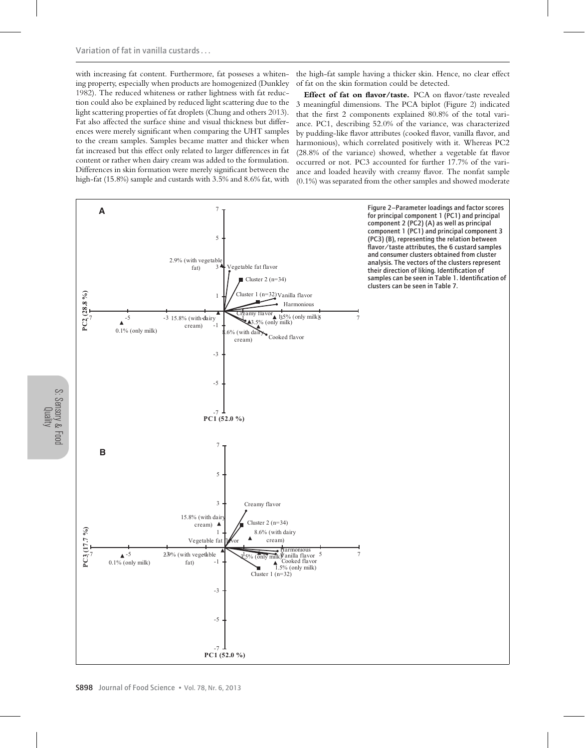with increasing fat content. Furthermore, fat posseses a whitening property, especially when products are homogenized (Dunkley 1982). The reduced whiteness or rather lightness with fat reduction could also be explained by reduced light scattering due to the light scattering properties of fat droplets (Chung and others 2013). Fat also affected the surface shine and visual thickness but differences were merely significant when comparing the UHT samples to the cream samples. Samples became matter and thicker when fat increased but this effect only related to larger differences in fat content or rather when dairy cream was added to the formulation. Differences in skin formation were merely significant between the high-fat (15.8%) sample and custards with 3.5% and 8.6% fat, with

the high-fat sample having a thicker skin. Hence, no clear effect of fat on the skin formation could be detected.

**Effect of fat on flavor/taste.** PCA on flavor/taste revealed 3 meaningful dimensions. The PCA biplot (Figure 2) indicated that the first 2 components explained 80.8% of the total variance. PC1, describing 52.0% of the variance, was characterized by pudding-like flavor attributes (cooked flavor, vanilla flavor, and harmonious), which correlated positively with it. Whereas PC2 (28.8% of the variance) showed, whether a vegetable fat flavor occurred or not. PC3 accounted for further 17.7% of the variance and loaded heavily with creamy flavor. The nonfat sample (0.1%) was separated from the other samples and showed moderate



Quality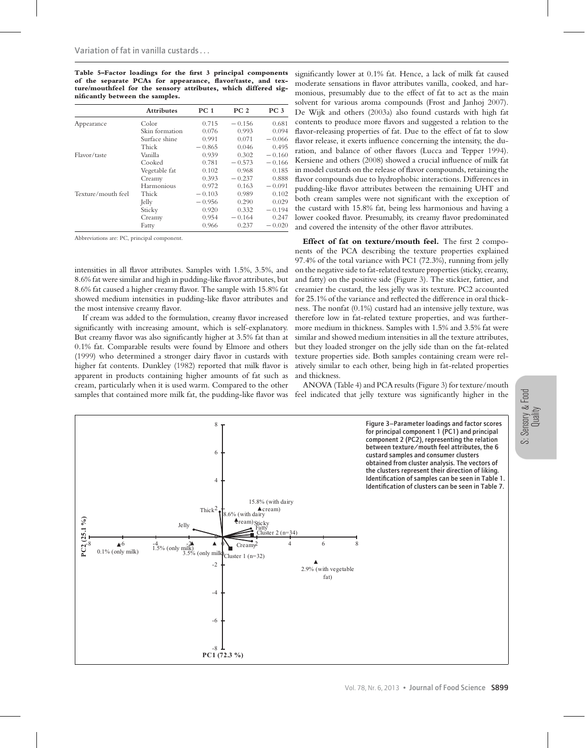**Table 5–Factor loadings for the first 3 principal components of the separate PCAs for appearance, flavor/taste, and texture/mouthfeel for the sensory attributes, which differed significantly between the samples.**

|                    | <b>Attributes</b> | PC <sub>1</sub> | PC <sub>2</sub> | PC <sub>3</sub> |
|--------------------|-------------------|-----------------|-----------------|-----------------|
| Appearance         | Color             | 0.715           | $-0.156$        | 0.681           |
|                    | Skin formation    | 0.076           | 0.993           | 0.094           |
|                    | Surface shine     | 0.991           | 0.071           | $-0.066$        |
|                    | Thick             | $-0.865$        | 0.046           | 0.495           |
| Flavor/taste       | Vanilla           | 0.939           | 0.302           | $-0.160$        |
|                    | Cooked            | 0.781           | $-0.573$        | $-0.166$        |
|                    | Vegetable fat     | 0.102           | 0.968           | 0.185           |
|                    | Creamy            | 0.393           | $-0.237$        | 0.888           |
|                    | Harmonious        | 0.972           | 0.163           | $-0.091$        |
| Texture/mouth feel | Thick             | $-0.103$        | 0.989           | 0.102           |
|                    | Jelly             | $-0.956$        | 0.290           | 0.029           |
|                    | Sticky            | 0.920           | 0.332           | $-0.194$        |
|                    | Creamy            | 0.954           | $-0.164$        | 0.247           |
|                    | Fatty             | 0.966           | 0.237           | $-0.020$        |

Abbreviations are: PC, principal component.

intensities in all flavor attributes. Samples with 1.5%, 3.5%, and 8.6% fat were similar and high in pudding-like flavor attributes, but 8.6% fat caused a higher creamy flavor. The sample with 15.8% fat showed medium intensities in pudding-like flavor attributes and the most intensive creamy flavor.

If cream was added to the formulation, creamy flavor increased significantly with increasing amount, which is self-explanatory. But creamy flavor was also significantly higher at 3.5% fat than at 0.1% fat. Comparable results were found by Elmore and others (1999) who determined a stronger dairy flavor in custards with higher fat contents. Dunkley (1982) reported that milk flavor is apparent in products containing higher amounts of fat such as cream, particularly when it is used warm. Compared to the other samples that contained more milk fat, the pudding-like flavor was

-8

**PC1 (72.3 %)**

significantly lower at 0.1% fat. Hence, a lack of milk fat caused moderate sensations in flavor attributes vanilla, cooked, and harmonious, presumably due to the effect of fat to act as the main solvent for various aroma compounds (Frost and Janhoj 2007). De Wijk and others (2003a) also found custards with high fat contents to produce more flavors and suggested a relation to the flavor-releasing properties of fat. Due to the effect of fat to slow flavor release, it exerts influence concerning the intensity, the duration, and balance of other flavors (Lucca and Tepper 1994). Kersiene and others (2008) showed a crucial influence of milk fat in model custards on the release of flavor compounds, retaining the flavor compounds due to hydrophobic interactions. Differences in pudding-like flavor attributes between the remaining UHT and both cream samples were not significant with the exception of the custard with 15.8% fat, being less harmonious and having a lower cooked flavor. Presumably, its creamy flavor predominated and covered the intensity of the other flavor attributes.

**Effect of fat on texture/mouth feel.** The first 2 components of the PCA describing the texture properties explained 97.4% of the total variance with PC1 (72.3%), running from jelly on the negative side to fat-related texture properties (sticky, creamy, and fatty) on the positive side (Figure 3). The stickier, fattier, and creamier the custard, the less jelly was its texture. PC2 accounted for 25.1% of the variance and reflected the difference in oral thickness. The nonfat (0.1%) custard had an intensive jelly texture, was therefore low in fat-related texture properties, and was furthermore medium in thickness. Samples with 1.5% and 3.5% fat were similar and showed medium intensities in all the texture attributes, but they loaded stronger on the jelly side than on the fat-related texture properties side. Both samples containing cream were relatively similar to each other, being high in fat-related properties and thickness.

ANOVA (Table 4) and PCA results (Figure 3) for texture/mouth feel indicated that jelly texture was significantly higher in the

 $\star$  6  $\star$  1.5% (only milk)  $\star$  1.5% (only milk) 3.5% (only mill) Thick<sup>2</sup>  $\sqrt{8.6\%}$  (with dairy Jelly **Cream**) Sticky 2.9% (with vegetable fat) 15.8% (with dairy Creamy<sup>2</sup> ruun.<br>Fatty Cluster  $1(n=32)$ Cluster 2 (n=34) -6 -4  $-2$  $\ddot{\phantom{0}}$ Thick $2$ 4 6 8  $\sum_{\substack{n=0 \text{odd } n \text{odd } n}}^{\infty} \frac{J \text{elly}}{2}$ <br>  $\sum_{\substack{n=0 \text{odd } n \text{odd } n}}^{\infty} \frac{1}{2}$ <br>  $\sum_{\substack{n=0 \text{odd } n \text{odd } n}}^{\infty} \frac{1}{2}$ <br>  $\sum_{\substack{n=0 \text{odd } n \text{odd } n}}^{\infty} \frac{1}{2}$ <br>  $\sum_{\substack{n=0 \text{odd } n \text{odd } n}}^{\infty} \frac{1}{2}$ <br>  $\sum_{\substack{n=0 \text{odd } n \text{odd } n}}^{\in$ Figure 3–Parameter loadings and factor scores for principal component 1 (PC1) and principal component 2 (PC2), representing the relation between texture/mouth feel attributes, the 6 custard samples and consumer clusters obtained from cluster analysis. The vectors of the clusters represent their direction of liking. Identification of samples can be seen in Table 1. Identification of clusters can be seen in Table 7.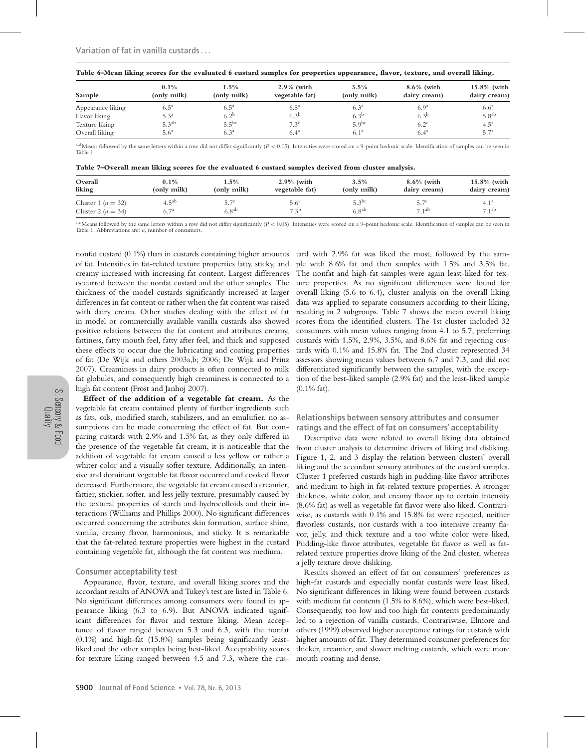| Table 6-Mean liking scores for the evaluated 6 custard samples for properties appearance, flavor, texture, and overall liking. |  |  |
|--------------------------------------------------------------------------------------------------------------------------------|--|--|
|--------------------------------------------------------------------------------------------------------------------------------|--|--|

| Sample                           | $0.1\%$<br>(only milk)                | $1.5\%$<br>(only milk)      | $2.9\%$ (with<br>vegetable fat)        | 3.5%<br>(only milk)            | $8.6\%$ (with<br>dairy cream) | $15.8\%$ (with<br>dairy cream) |
|----------------------------------|---------------------------------------|-----------------------------|----------------------------------------|--------------------------------|-------------------------------|--------------------------------|
| Appearance liking                | $6.5^{\rm a}$                         | $6.5^{\rm a}$               | 6.8 <sup>a</sup>                       | 6.3 <sup>a</sup>               | 6.9 <sup>a</sup>              | 6.6 <sup>a</sup>               |
| Flavor liking                    | $5.3^{a}$                             | $6.2^b$                     | $6.3^{b}$                              | $6.3^{b}$                      | $6.3^{b}$                     | 5.8 <sup>ab</sup>              |
| Texture liking<br>Overall liking | 5.3 <sup>ab</sup><br>5.6 <sup>a</sup> | $5.5^{bc}$<br>$6.3^{\rm a}$ | 7.3 <sup>d</sup><br>$6.4^{\mathrm{a}}$ | $5.9^{bc}$<br>6.1 <sup>a</sup> | $6.2^{\circ}$<br>$6.4^{a}$    | $4.5^{\rm a}$<br>$5.7^{a}$     |

<sup>a-d</sup>Means followed by the same letters within a row did not differ significantly (*P* < 0.05). Intensities were scored on a 9-point hedonic scale. Identification of samples can be seen in Table 1.

| Table 7–Overall mean liking scores for the evaluated 6 custard samples derived from cluster analysis. |  |  |  |
|-------------------------------------------------------------------------------------------------------|--|--|--|
|-------------------------------------------------------------------------------------------------------|--|--|--|

| Overall                | $0.1\%$          | $1.5\%$           | $2.9\%$ (with    | 3.5%        | $8.6\%$ (with | $15.8\%$ (with |
|------------------------|------------------|-------------------|------------------|-------------|---------------|----------------|
| liking                 | (only milk)      | (only milk)       | vegetable fat)   | (only milk) | dairy cream)  | dairy cream)   |
| Cluster 1 ( $n = 32$ ) | $4.5^{3D}$       | 5.7 <sup>c</sup>  | 5.6 <sup>c</sup> | $5.3^{bc}$  | $5.7^{\circ}$ | $4.1^{\circ}$  |
| Cluster 2 ( $n = 34$ ) | 6.7 <sup>a</sup> | 6.8 <sup>ab</sup> | 7.3 <sup>b</sup> | $6.8^{ab}$  | 7.1ab         | 74ab           |

 $\epsilon$ Means followed by the same letters within a row did not differ significantly ( $P < 0.05$ ). Intensities were scored on a 9-point hedonic scale. Identification of samples can be seen in Table 1. Abbreviations are: *n*, number of consumers.

nonfat custard (0.1%) than in custards containing higher amounts of fat. Intensities in fat-related texture properties fatty, sticky, and creamy increased with increasing fat content. Largest differences occurred between the nonfat custard and the other samples. The thickness of the model custards significantly increased at larger differences in fat content or rather when the fat content was raised with dairy cream. Other studies dealing with the effect of fat in model or commercially available vanilla custards also showed positive relations between the fat content and attributes creamy, fattiness, fatty mouth feel, fatty after feel, and thick and supposed these effects to occur due the lubricating and coating properties of fat (De Wijk and others 2003a,b; 2006; De Wijk and Prinz 2007). Creaminess in dairy products is often connected to milk fat globules, and consequently high creaminess is connected to a high fat content (Frost and Janhoj 2007).

**Effect of the addition of a vegetable fat cream.** As the vegetable fat cream contained plenty of further ingredients such as fats, oils, modified starch, stabilizers, and an emulsifier, no assumptions can be made concerning the effect of fat. But comparing custards with 2.9% and 1.5% fat, as they only differed in the presence of the vegetable fat cream, it is noticeable that the addition of vegetable fat cream caused a less yellow or rather a whiter color and a visually softer texture. Additionally, an intensive and dominant vegetable fat flavor occurred and cooked flavor decreased. Furthermore, the vegetable fat cream caused a creamier, fattier, stickier, softer, and less jelly texture, presumably caused by the textural properties of starch and hydrocolloids and their interactions (Williams and Phillips 2000). No significant differences occurred concerning the attributes skin formation, surface shine, vanilla, creamy flavor, harmonious, and sticky. It is remarkable that the fat-related texture properties were highest in the custard containing vegetable fat, although the fat content was medium.

#### Consumer acceptability test

Appearance, flavor, texture, and overall liking scores and the accordant results of ANOVA and Tukey's test are listed in Table 6. No significant differences among consumers were found in appearance liking (6.3 to 6.9). But ANOVA indicated significant differences for flavor and texture liking. Mean acceptance of flavor ranged between 5.3 and 6.3, with the nonfat (0.1%) and high-fat (15.8%) samples being significantly leastliked and the other samples being best-liked. Acceptability scores for texture liking ranged between 4.5 and 7.3, where the cus-

tard with 2.9% fat was liked the most, followed by the sample with 8.6% fat and then samples with 1.5% and 3.5% fat. The nonfat and high-fat samples were again least-liked for texture properties. As no significant differences were found for overall liking (5.6 to 6.4), cluster analysis on the overall liking data was applied to separate consumers according to their liking, resulting in 2 subgroups. Table 7 shows the mean overall liking scores from the identified clusters. The 1st cluster included 32 consumers with mean values ranging from 4.1 to 5.7, preferring custards with 1.5%, 2.9%, 3.5%, and 8.6% fat and rejecting custards with 0.1% and 15.8% fat. The 2nd cluster represented 34 assessors showing mean values between 6.7 and 7.3, and did not differentiated significantly between the samples, with the exception of the best-liked sample (2.9% fat) and the least-liked sample (0.1% fat).

## Relationships between sensory attributes and consumer ratings and the effect of fat on consumers' acceptability

Descriptive data were related to overall liking data obtained from cluster analysis to determine drivers of liking and disliking. Figure 1, 2, and 3 display the relation between clusters' overall liking and the accordant sensory attributes of the custard samples. Cluster 1 preferred custards high in pudding-like flavor attributes and medium to high in fat-related texture properties. A stronger thickness, white color, and creamy flavor up to certain intensity (8.6% fat) as well as vegetable fat flavor were also liked. Contrariwise, as custards with 0.1% and 15.8% fat were rejected, neither flavorless custards, nor custards with a too intensive creamy flavor, jelly, and thick texture and a too white color were liked. Pudding-like flavor attributes, vegetable fat flavor as well as fatrelated texture properties drove liking of the 2nd cluster, whereas a jelly texture drove disliking.

Results showed an effect of fat on consumers' preferences as high-fat custards and especially nonfat custards were least liked. No significant differences in liking were found between custards with medium fat contents (1.5% to 8.6%), which were best-liked. Consequently, too low and too high fat contents predominantly led to a rejection of vanilla custards. Contrariwise, Elmore and others (1999) observed higher acceptance ratings for custards with higher amounts of fat. They determined consumer preferences for thicker, creamier, and slower melting custards, which were more mouth coating and dense.